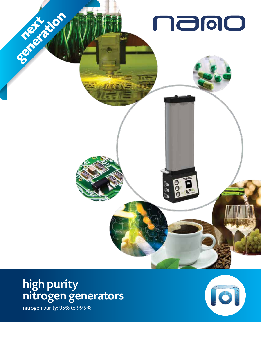

# high purity nitrogen generators

nitrogen purity: 95% to 99.9%

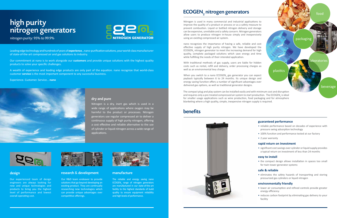Leading edge technology and hundreds of years of **experience**…nano-purification solutions, your world-class manufacturer of state-of-the-art compressed air and gas solutions to industry.

Our commitment at nano is to work alongside our **customers** and provide unique solutions with the highest quality products to solve your specific challenges.

A wealth of experience and leading edge products are only part of the equation. nano recognize that world-class customer **service** is the most important component to any successful business.

Experience. Customer. Service… **nano**



### design

Our experienced team of design engineers are always looking for new and unique technologies and products to bring you the highest level of performance and lowest overall operating cost.



Our R&D team endeavor to provide solutions that go beyond developing an existing product. They are continually researching new technologies which can provide unique advantages over competitive offerings.



### research & development

The reliable and energy saving nano  $ECOGEN_{2}$  range of nitrogen generators are manufactured in our state-of-the-art facility to the highest standards of build quality to ensure equipment reliability and high levels of performance.

## $ECOGEN<sub>2</sub>$  nitrogen generators food

### manufacture

### dry and pure

Nitrogen is a dry, inert gas which is used in a wide range of applications where oxygen may be harmful to the product or processes. Nitrogen generators use regular compressed air to deliver a continuous supply of high purity nitrogen, offering a cost effective and reliable alternative to the use of cylinder or liquid nitrogen across a wide range of applications.



# high purity nitrogen generators



nitrogen purity: 95% to 99.9%

## benefits



### **guaranteed performance**

• reliable performance based on decades of experience with pressure swing adsorption technology

When you switch to a nano  $\mathsf{ECOGEN}_2$  gas generator you can expect payback typically between 6 to 24 months. Its unique design and energy saving function offers a number of significant advantages over delivered gas options, as well as traditional generator designs.

- 100% function and performance tested at our factory
- 2 year warranty

### **rapid return on investment**

• significant cost savings over cylinder or liquid supply provides a typical return on investment of less than 24 months

### **easy to install**

• the compact design allows installation in spaces too small for twin tower generator systems

### **safe & reliable**

• eliminates the safety hazards of transporting and storing pressurized gas cylinders or liquid nitrogen

### **environmentally friendly**

- lower air consumption and refined controls provide greater energy efficiency
- reduces carbon footprint by eliminating gas delivery to your facility

Nitrogen is used in many commercial and industrial applications to improve the quality of a product or process or as a safety measure to prevent combustion. Liquid or bottled nitrogen delivery and storage can be expensive, unreliable and a safety concern. Nitrogen generators allow users to produce nitrogen in-house simply and inexpensively using an existing compressed air system.

nano recognizes the importance of having a safe, reliable and cost effective supply of high purity nitrogen. We have developed the  $EGOGEN_{2}$  nitrogen generator to meet the increasing demand for high quality, complete packaged solutions which save energy and time while fulfilling the needs of their intended application.

With traditional methods of gas supply, users are liable for hidden costs such as rental, refill and delivery, order processing charges as well as an environmental levy charge.

plastics

laboratories

packaging

beverage

The compact plug and play system can be installed easily and with minimum cost and disruption and requires only a pre-treated compressed air system to start production. The ECOGEN<sub>2</sub> is ideal for smaller usage applications such as wine production, food packaging and for atmosphere blanketing where a high quality, simple, inexpensive nitrogen supply is required.

food